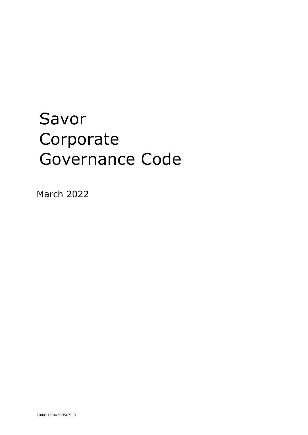# Savor Corporate Governance Code

March 2022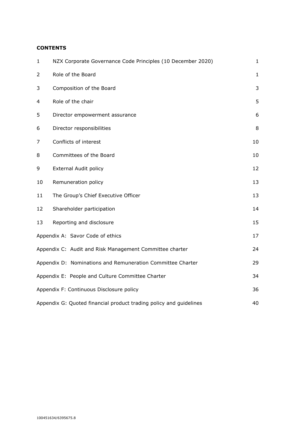# **CONTENTS**

| $\mathbf{1}$                                                       | NZX Corporate Governance Code Principles (10 December 2020) | $\mathbf{1}$ |
|--------------------------------------------------------------------|-------------------------------------------------------------|--------------|
| $\overline{2}$                                                     | Role of the Board                                           | $\mathbf{1}$ |
| 3                                                                  | Composition of the Board                                    | 3            |
| 4                                                                  | Role of the chair                                           | 5            |
| 5                                                                  | Director empowerment assurance                              | 6            |
| 6                                                                  | Director responsibilities                                   | 8            |
| 7                                                                  | Conflicts of interest                                       | 10           |
| 8                                                                  | Committees of the Board                                     | 10           |
| 9                                                                  | <b>External Audit policy</b>                                | 12           |
| 10                                                                 | Remuneration policy                                         | 13           |
| 11                                                                 | The Group's Chief Executive Officer                         | 13           |
| 12                                                                 | Shareholder participation                                   | 14           |
| 13                                                                 | Reporting and disclosure                                    | 15           |
|                                                                    | Appendix A: Savor Code of ethics                            | 17           |
|                                                                    | Appendix C: Audit and Risk Management Committee charter     | 24           |
|                                                                    | Appendix D: Nominations and Remuneration Committee Charter  | 29           |
| Appendix E: People and Culture Committee Charter                   |                                                             | 34           |
| Appendix F: Continuous Disclosure policy                           |                                                             | 36           |
| Appendix G: Quoted financial product trading policy and guidelines |                                                             | 40           |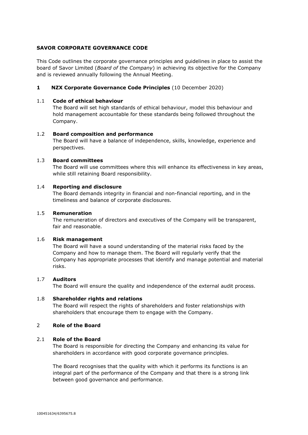# **SAVOR CORPORATE GOVERNANCE CODE**

This Code outlines the corporate governance principles and guidelines in place to assist the board of Savor Limited (*Board of the Company*) in achieving its objective for the Company and is reviewed annually following the Annual Meeting.

# <span id="page-2-0"></span>**1 NZX Corporate Governance Code Principles** (10 December 2020)

#### 1.1 **Code of ethical behaviour**

The Board will set high standards of ethical behaviour, model this behaviour and hold management accountable for these standards being followed throughout the Company.

# 1.2 **Board composition and performance**

The Board will have a balance of independence, skills, knowledge, experience and perspectives.

# 1.3 **Board committees**

The Board will use committees where this will enhance its effectiveness in key areas, while still retaining Board responsibility.

#### 1.4 **Reporting and disclosure**

The Board demands integrity in financial and non-financial reporting, and in the timeliness and balance of corporate disclosures.

#### 1.5 **Remuneration**

The remuneration of directors and executives of the Company will be transparent, fair and reasonable.

#### 1.6 **Risk management**

The Board will have a sound understanding of the material risks faced by the Company and how to manage them. The Board will regularly verify that the Company has appropriate processes that identify and manage potential and material risks.

#### 1.7 **Auditors**

The Board will ensure the quality and independence of the external audit process.

#### 1.8 **Shareholder rights and relations**

The Board will respect the rights of shareholders and foster relationships with shareholders that encourage them to engage with the Company.

# <span id="page-2-1"></span>2 **Role of the Board**

#### 2.1 **Role of the Board**

The Board is responsible for directing the Company and enhancing its value for shareholders in accordance with good corporate governance principles.

The Board recognises that the quality with which it performs its functions is an integral part of the performance of the Company and that there is a strong link between good governance and performance.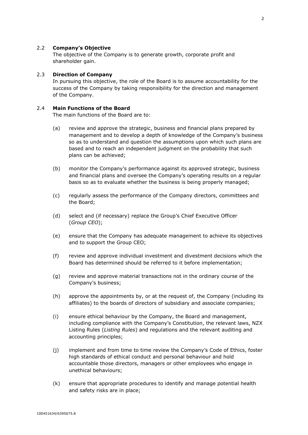# 2.2 **Company's Objective**

The objective of the Company is to generate growth, corporate profit and shareholder gain.

#### 2.3 **Direction of Company**

In pursuing this objective, the role of the Board is to assume accountability for the success of the Company by taking responsibility for the direction and management of the Company.

## 2.4 **Main Functions of the Board**

The main functions of the Board are to:

- (a) review and approve the strategic, business and financial plans prepared by management and to develop a depth of knowledge of the Company's business so as to understand and question the assumptions upon which such plans are based and to reach an independent judgment on the probability that such plans can be achieved;
- (b) monitor the Company's performance against its approved strategic, business and financial plans and oversee the Company's operating results on a regular basis so as to evaluate whether the business is being properly managed;
- (c) regularly assess the performance of the Company directors, committees and the Board;
- (d) select and (if necessary) replace the Group's Chief Executive Officer (*Group CEO*);
- (e) ensure that the Company has adequate management to achieve its objectives and to support the Group CEO;
- (f) review and approve individual investment and divestment decisions which the Board has determined should be referred to it before implementation;
- (g) review and approve material transactions not in the ordinary course of the Company's business;
- (h) approve the appointments by, or at the request of, the Company (including its affiliates) to the boards of directors of subsidiary and associate companies;
- (i) ensure ethical behaviour by the Company, the Board and management, including compliance with the Company's Constitution, the relevant laws, NZX Listing Rules (*Listing Rules*) and regulations and the relevant auditing and accounting principles;
- (j) implement and from time to time review the Company's Code of Ethics, foster high standards of ethical conduct and personal behaviour and hold accountable those directors, managers or other employees who engage in unethical behaviours;
- (k) ensure that appropriate procedures to identify and manage potential health and safety risks are in place;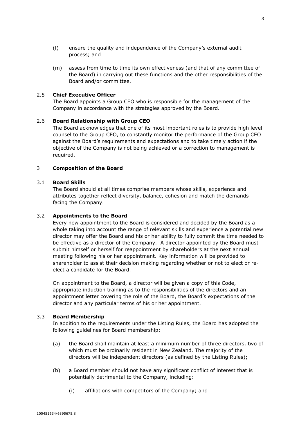- (l) ensure the quality and independence of the Company's external audit process; and
- (m) assess from time to time its own effectiveness (and that of any committee of the Board) in carrying out these functions and the other responsibilities of the Board and/or committee.

# 2.5 **Chief Executive Officer**

The Board appoints a Group CEO who is responsible for the management of the Company in accordance with the strategies approved by the Board.

#### 2.6 **Board Relationship with Group CEO**

The Board acknowledges that one of its most important roles is to provide high level counsel to the Group CEO, to constantly monitor the performance of the Group CEO against the Board's requirements and expectations and to take timely action if the objective of the Company is not being achieved or a correction to management is required.

# <span id="page-4-0"></span>3 **Composition of the Board**

#### 3.1 **Board Skills**

The Board should at all times comprise members whose skills, experience and attributes together reflect diversity, balance, cohesion and match the demands facing the Company.

## 3.2 **Appointments to the Board**

Every new appointment to the Board is considered and decided by the Board as a whole taking into account the range of relevant skills and experience a potential new director may offer the Board and his or her ability to fully commit the time needed to be effective as a director of the Company. A director appointed by the Board must submit himself or herself for reappointment by shareholders at the next annual meeting following his or her appointment. Key information will be provided to shareholder to assist their decision making regarding whether or not to elect or reelect a candidate for the Board.

On appointment to the Board, a director will be given a copy of this Code, appropriate induction training as to the responsibilities of the directors and an appointment letter covering the role of the Board, the Board's expectations of the director and any particular terms of his or her appointment.

#### 3.3 **Board Membership**

In addition to the requirements under the Listing Rules, the Board has adopted the following guidelines for Board membership:

- (a) the Board shall maintain at least a minimum number of three directors, two of which must be ordinarily resident in New Zealand. The majority of the directors will be independent directors (as defined by the Listing Rules);
- (b) a Board member should not have any significant conflict of interest that is potentially detrimental to the Company, including:
	- (i) affiliations with competitors of the Company; and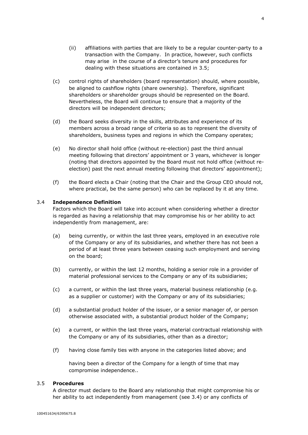- (c) control rights of shareholders (board representation) should, where possible, be aligned to cashflow rights (share ownership). Therefore, significant shareholders or shareholder groups should be represented on the Board. Nevertheless, the Board will continue to ensure that a majority of the directors will be independent directors;
- (d) the Board seeks diversity in the skills, attributes and experience of its members across a broad range of criteria so as to represent the diversity of shareholders, business types and regions in which the Company operates;
- (e) No director shall hold office (without re-election) past the third annual meeting following that directors' appointment or 3 years, whichever is longer (noting that directors appointed by the Board must not hold office (without reelection) past the next annual meeting following that directors' appointment);
- (f) the Board elects a Chair (noting that the Chair and the Group CEO should not, where practical, be the same person) who can be replaced by it at any time.

# 3.4 **Independence Definition**

Factors which the Board will take into account when considering whether a director is regarded as having a relationship that may compromise his or her ability to act independently from management, are:

- (a) being currently, or within the last three years, employed in an executive role of the Company or any of its subsidiaries, and whether there has not been a period of at least three years between ceasing such employment and serving on the board;
- (b) currently, or within the last 12 months, holding a senior role in a provider of material professional services to the Company or any of its subsidiaries;
- (c) a current, or within the last three years, material business relationship (e.g. as a supplier or customer) with the Company or any of its subsidiaries;
- (d) a substantial product holder of the issuer, or a senior manager of, or person otherwise associated with, a substantial product holder of the Company;
- (e) a current, or within the last three years, material contractual relationship with the Company or any of its subsidiaries, other than as a director;
- (f) having close family ties with anyone in the categories listed above; and

having been a director of the Company for a length of time that may compromise independence..

# 3.5 **Procedures**

A director must declare to the Board any relationship that might compromise his or her ability to act independently from management (see 3.4) or any conflicts of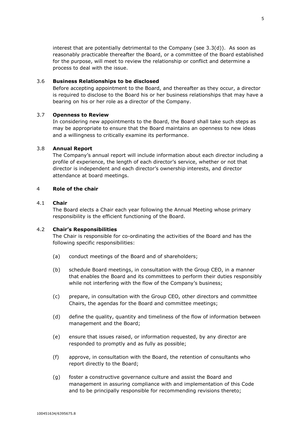interest that are potentially detrimental to the Company (see 3.3(d)). As soon as reasonably practicable thereafter the Board, or a committee of the Board established for the purpose, will meet to review the relationship or conflict and determine a process to deal with the issue.

# 3.6 **Business Relationships to be disclosed**

Before accepting appointment to the Board, and thereafter as they occur, a director is required to disclose to the Board his or her business relationships that may have a bearing on his or her role as a director of the Company.

# 3.7 **Openness to Review**

In considering new appointments to the Board, the Board shall take such steps as may be appropriate to ensure that the Board maintains an openness to new ideas and a willingness to critically examine its performance.

# 3.8 **Annual Report**

The Company's annual report will include information about each director including a profile of experience, the length of each director's service, whether or not that director is independent and each director's ownership interests, and director attendance at board meetings.

# <span id="page-6-0"></span>4 **Role of the chair**

# 4.1 **Chair**

The Board elects a Chair each year following the Annual Meeting whose primary responsibility is the efficient functioning of the Board.

# 4.2 **Chair's Responsibilities**

The Chair is responsible for co-ordinating the activities of the Board and has the following specific responsibilities:

- (a) conduct meetings of the Board and of shareholders;
- (b) schedule Board meetings, in consultation with the Group CEO, in a manner that enables the Board and its committees to perform their duties responsibly while not interfering with the flow of the Company's business;
- (c) prepare, in consultation with the Group CEO, other directors and committee Chairs, the agendas for the Board and committee meetings;
- (d) define the quality, quantity and timeliness of the flow of information between management and the Board;
- (e) ensure that issues raised, or information requested, by any director are responded to promptly and as fully as possible;
- (f) approve, in consultation with the Board, the retention of consultants who report directly to the Board;
- (g) foster a constructive governance culture and assist the Board and management in assuring compliance with and implementation of this Code and to be principally responsible for recommending revisions thereto;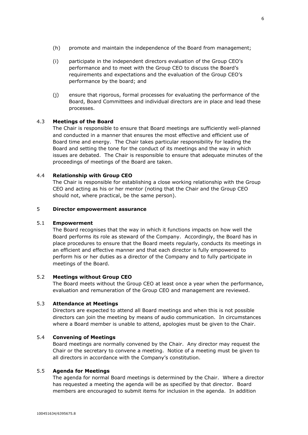- (h) promote and maintain the independence of the Board from management;
- (i) participate in the independent directors evaluation of the Group CEO's performance and to meet with the Group CEO to discuss the Board's requirements and expectations and the evaluation of the Group CEO's performance by the board; and
- (j) ensure that rigorous, formal processes for evaluating the performance of the Board, Board Committees and individual directors are in place and lead these processes.

# 4.3 **Meetings of the Board**

The Chair is responsible to ensure that Board meetings are sufficiently well-planned and conducted in a manner that ensures the most effective and efficient use of Board time and energy. The Chair takes particular responsibility for leading the Board and setting the tone for the conduct of its meetings and the way in which issues are debated. The Chair is responsible to ensure that adequate minutes of the proceedings of meetings of the Board are taken.

#### 4.4 **Relationship with Group CEO**

The Chair is responsible for establishing a close working relationship with the Group CEO and acting as his or her mentor (noting that the Chair and the Group CEO should not, where practical, be the same person).

# <span id="page-7-0"></span>5 **Director empowerment assurance**

# 5.1 **Empowerment**

The Board recognises that the way in which it functions impacts on how well the Board performs its role as steward of the Company. Accordingly, the Board has in place procedures to ensure that the Board meets regularly, conducts its meetings in an efficient and effective manner and that each director is fully empowered to perform his or her duties as a director of the Company and to fully participate in meetings of the Board.

## 5.2 **Meetings without Group CEO**

The Board meets without the Group CEO at least once a year when the performance, evaluation and remuneration of the Group CEO and management are reviewed.

## 5.3 **Attendance at Meetings**

Directors are expected to attend all Board meetings and when this is not possible directors can join the meeting by means of audio communication. In circumstances where a Board member is unable to attend, apologies must be given to the Chair.

# 5.4 **Convening of Meetings**

Board meetings are normally convened by the Chair. Any director may request the Chair or the secretary to convene a meeting. Notice of a meeting must be given to all directors in accordance with the Company's constitution.

# 5.5 **Agenda for Meetings**

The agenda for normal Board meetings is determined by the Chair. Where a director has requested a meeting the agenda will be as specified by that director. Board members are encouraged to submit items for inclusion in the agenda. In addition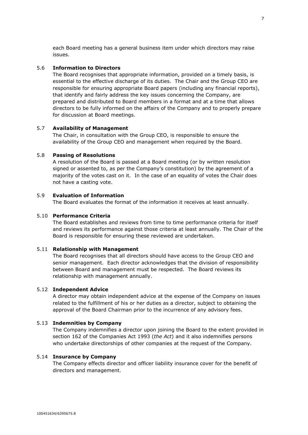each Board meeting has a general business item under which directors may raise issues.

# 5.6 **Information to Directors**

The Board recognises that appropriate information, provided on a timely basis, is essential to the effective discharge of its duties. The Chair and the Group CEO are responsible for ensuring appropriate Board papers (including any financial reports), that identify and fairly address the key issues concerning the Company, are prepared and distributed to Board members in a format and at a time that allows directors to be fully informed on the affairs of the Company and to properly prepare for discussion at Board meetings.

# 5.7 **Availability of Management**

The Chair, in consultation with the Group CEO, is responsible to ensure the availability of the Group CEO and management when required by the Board.

# 5.8 **Passing of Resolutions**

A resolution of the Board is passed at a Board meeting (or by written resolution signed or assented to, as per the Company's constitution) by the agreement of a majority of the votes cast on it. In the case of an equality of votes the Chair does not have a casting vote.

# 5.9 **Evaluation of Information**

The Board evaluates the format of the information it receives at least annually.

# 5.10 **Performance Criteria**

The Board establishes and reviews from time to time performance criteria for itself and reviews its performance against those criteria at least annually. The Chair of the Board is responsible for ensuring these reviewed are undertaken.

#### 5.11 **Relationship with Management**

The Board recognises that all directors should have access to the Group CEO and senior management. Each director acknowledges that the division of responsibility between Board and management must be respected. The Board reviews its relationship with management annually.

## 5.12 **Independent Advice**

A director may obtain independent advice at the expense of the Company on issues related to the fulfillment of his or her duties as a director, subject to obtaining the approval of the Board Chairman prior to the incurrence of any advisory fees.

#### 5.13 **Indemnities by Company**

The Company indemnifies a director upon joining the Board to the extent provided in section 162 of the Companies Act 1993 (*the Act*) and it also indemnifies persons who undertake directorships of other companies at the request of the Company.

#### 5.14 **Insurance by Company**

The Company effects director and officer liability insurance cover for the benefit of directors and management.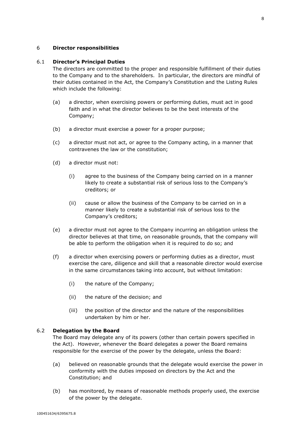# <span id="page-9-0"></span>6 **Director responsibilities**

# 6.1 **Director's Principal Duties**

The directors are committed to the proper and responsible fulfillment of their duties to the Company and to the shareholders. In particular, the directors are mindful of their duties contained in the Act, the Company's Constitution and the Listing Rules which include the following:

- (a) a director, when exercising powers or performing duties, must act in good faith and in what the director believes to be the best interests of the Company;
- (b) a director must exercise a power for a proper purpose;
- (c) a director must not act, or agree to the Company acting, in a manner that contravenes the law or the constitution;
- (d) a director must not:
	- (i) agree to the business of the Company being carried on in a manner likely to create a substantial risk of serious loss to the Company's creditors; or
	- (ii) cause or allow the business of the Company to be carried on in a manner likely to create a substantial risk of serious loss to the Company's creditors;
- (e) a director must not agree to the Company incurring an obligation unless the director believes at that time, on reasonable grounds, that the company will be able to perform the obligation when it is required to do so; and
- (f) a director when exercising powers or performing duties as a director, must exercise the care, diligence and skill that a reasonable director would exercise in the same circumstances taking into account, but without limitation:
	- (i) the nature of the Company;
	- (ii) the nature of the decision; and
	- (iii) the position of the director and the nature of the responsibilities undertaken by him or her.

# 6.2 **Delegation by the Board**

The Board may delegate any of its powers (other than certain powers specified in the Act). However, whenever the Board delegates a power the Board remains responsible for the exercise of the power by the delegate, unless the Board:

- (a) believed on reasonable grounds that the delegate would exercise the power in conformity with the duties imposed on directors by the Act and the Constitution; and
- (b) has monitored, by means of reasonable methods properly used, the exercise of the power by the delegate.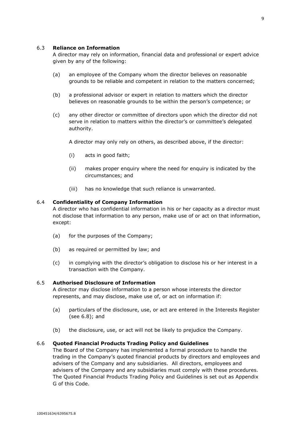## 6.3 **Reliance on Information**

A director may rely on information, financial data and professional or expert advice given by any of the following:

- (a) an employee of the Company whom the director believes on reasonable grounds to be reliable and competent in relation to the matters concerned;
- (b) a professional advisor or expert in relation to matters which the director believes on reasonable grounds to be within the person's competence; or
- (c) any other director or committee of directors upon which the director did not serve in relation to matters within the director's or committee's delegated authority.

A director may only rely on others, as described above, if the director:

- (i) acts in good faith;
- (ii) makes proper enquiry where the need for enquiry is indicated by the circumstances; and
- (iii) has no knowledge that such reliance is unwarranted.

# 6.4 **Confidentiality of Company Information**

A director who has confidential information in his or her capacity as a director must not disclose that information to any person, make use of or act on that information, except:

- (a) for the purposes of the Company;
- (b) as required or permitted by law; and
- (c) in complying with the director's obligation to disclose his or her interest in a transaction with the Company.

#### 6.5 **Authorised Disclosure of Information**

A director may disclose information to a person whose interests the director represents, and may disclose, make use of, or act on information if:

- (a) particulars of the disclosure, use, or act are entered in the Interests Register (see 6.8); and
- (b) the disclosure, use, or act will not be likely to prejudice the Company.

# 6.6 **Quoted Financial Products Trading Policy and Guidelines**

The Board of the Company has implemented a formal procedure to handle the trading in the Company's quoted financial products by directors and employees and advisers of the Company and any subsidiaries. All directors, employees and advisers of the Company and any subsidiaries must comply with these procedures. The Quoted Financial Products Trading Policy and Guidelines is set out as Appendix G of this Code.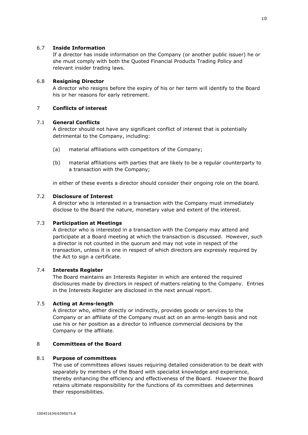# 6.7 **Inside Information**

If a director has inside information on the Company (or another public issuer) he or she must comply with both the Quoted Financial Products Trading Policy and relevant insider trading laws.

# 6.8 **Resigning Director**

A director who resigns before the expiry of his or her term will identify to the Board his or her reasons for early retirement.

# <span id="page-11-0"></span>7 **Conflicts of interest**

# 7.1 **General Conflicts**

A director should not have any significant conflict of interest that is potentially detrimental to the Company, including:

- (a) material affiliations with competitors of the Company;
- (b) material affiliations with parties that are likely to be a regular counterparty to a transaction with the Company;

in either of these events a director should consider their ongoing role on the board.

#### 7.2 **Disclosure of Interest**

A director who is interested in a transaction with the Company must immediately disclose to the Board the nature, monetary value and extent of the interest.

# 7.3 **Participation at Meetings**

A director who is interested in a transaction with the Company may attend and participate at a Board meeting at which the transaction is discussed. However, such a director is not counted in the quorum and may not vote in respect of the transaction, unless it is one in respect of which directors are expressly required by the Act to sign a certificate.

## 7.4 **Interests Register**

The Board maintains an Interests Register in which are entered the required disclosures made by directors in respect of matters relating to the Company. Entries in the Interests Register are disclosed in the next annual report.

# 7.5 **Acting at Arms-length**

A director who, either directly or indirectly, provides goods or services to the Company or an affiliate of the Company must act on an arms-length basis and not use his or her position as a director to influence commercial decisions by the Company or the affiliate.

# <span id="page-11-1"></span>8 **Committees of the Board**

## 8.1 **Purpose of committees**

The use of committees allows issues requiring detailed consideration to be dealt with separately by members of the Board with specialist knowledge and experience, thereby enhancing the efficiency and effectiveness of the Board. However the Board retains ultimate responsibility for the functions of its committees and determines their responsibilities.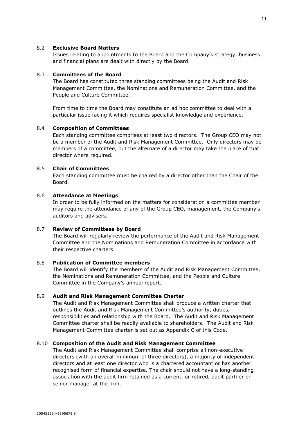## 8.2 **Exclusive Board Matters**

Issues relating to appointments to the Board and the Company's strategy, business and financial plans are dealt with directly by the Board.

# 8.3 **Committees of the Board**

The Board has constituted three standing committees being the Audit and Risk Management Committee, the Nominations and Remuneration Committee, and the People and Culture Committee.

From time to time the Board may constitute an ad hoc committee to deal with a particular issue facing it which requires specialist knowledge and experience.

# 8.4 **Composition of Committees**

Each standing committee comprises at least two directors. The Group CEO may not be a member of the Audit and Risk Management Committee. Only directors may be members of a committee, but the alternate of a director may take the place of that director where required.

# 8.5 **Chair of Committees**

Each standing committee must be chaired by a director other than the Chair of the Board.

# 8.6 **Attendance at Meetings**

In order to be fully informed on the matters for consideration a committee member may require the attendance of any of the Group CEO, management, the Company's auditors and advisers.

# 8.7 **Review of Committees by Board**

The Board will regularly review the performance of the Audit and Risk Management Committee and the Nominations and Remuneration Committee in accordance with their respective charters.

# 8.8 **Publication of Committee members**

The Board will identify the members of the Audit and Risk Management Committee, the Nominations and Remuneration Committee, and the People and Culture Committee in the Company's annual report.

# 8.9 **Audit and Risk Management Committee Charter**

The Audit and Risk Management Committee shall produce a written charter that outlines the Audit and Risk Management Committee's authority, duties, responsibilities and relationship with the Board. The Audit and Risk Management Committee charter shall be readily available to shareholders. The Audit and Risk Management Committee charter is set out as Appendix C of this Code.

#### 8.10 **Composition of the Audit and Risk Management Committee**

The Audit and Risk Management Committee shall comprise all non-executive directors (with an overall minimum of three directors), a majority of independent directors and at least one director who is a chartered accountant or has another recognised form of financial expertise. The chair should not have a long-standing association with the audit firm retained as a current, or retired, audit partner or senior manager at the firm.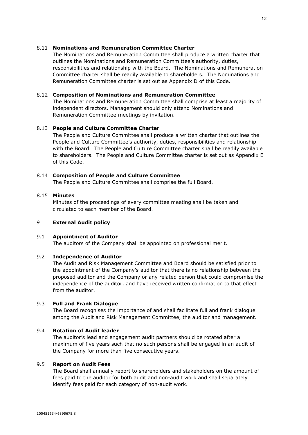# 8.11 **Nominations and Remuneration Committee Charter**

The Nominations and Remuneration Committee shall produce a written charter that outlines the Nominations and Remuneration Committee's authority, duties, responsibilities and relationship with the Board. The Nominations and Remuneration Committee charter shall be readily available to shareholders. The Nominations and Remuneration Committee charter is set out as Appendix D of this Code.

# 8.12 **Composition of Nominations and Remuneration Committee**

The Nominations and Remuneration Committee shall comprise at least a majority of independent directors. Management should only attend Nominations and Remuneration Committee meetings by invitation.

# 8.13 **People and Culture Committee Charter**

The People and Culture Committee shall produce a written charter that outlines the People and Culture Committee's authority, duties, responsibilities and relationship with the Board. The People and Culture Committee charter shall be readily available to shareholders. The People and Culture Committee charter is set out as Appendix E of this Code.

# 8.14 **Composition of People and Culture Committee**

The People and Culture Committee shall comprise the full Board.

# 8.15 **Minutes**

Minutes of the proceedings of every committee meeting shall be taken and circulated to each member of the Board.

#### <span id="page-13-0"></span>9 **External Audit policy**

#### 9.1 **Appointment of Auditor**

The auditors of the Company shall be appointed on professional merit.

# 9.2 **Independence of Auditor**

The Audit and Risk Management Committee and Board should be satisfied prior to the appointment of the Company's auditor that there is no relationship between the proposed auditor and the Company or any related person that could compromise the independence of the auditor, and have received written confirmation to that effect from the auditor.

# 9.3 **Full and Frank Dialogue**

The Board recognises the importance of and shall facilitate full and frank dialogue among the Audit and Risk Management Committee, the auditor and management.

# 9.4 **Rotation of Audit leader**

The auditor's lead and engagement audit partners should be rotated after a maximum of five years such that no such persons shall be engaged in an audit of the Company for more than five consecutive years.

# 9.5 **Report on Audit Fees**

The Board shall annually report to shareholders and stakeholders on the amount of fees paid to the auditor for both audit and non-audit work and shall separately identify fees paid for each category of non-audit work.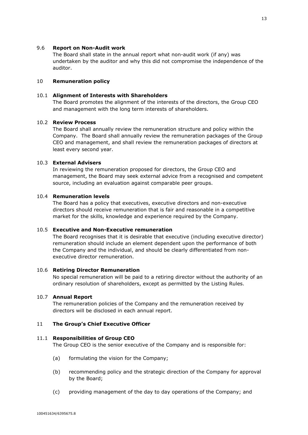#### 9.6 **Report on Non-Audit work**

The Board shall state in the annual report what non-audit work (if any) was undertaken by the auditor and why this did not compromise the independence of the auditor.

## <span id="page-14-0"></span>10 **Remuneration policy**

# 10.1 **Alignment of Interests with Shareholders**

The Board promotes the alignment of the interests of the directors, the Group CEO and management with the long term interests of shareholders.

## 10.2 **Review Process**

The Board shall annually review the remuneration structure and policy within the Company. The Board shall annually review the remuneration packages of the Group CEO and management, and shall review the remuneration packages of directors at least every second year.

# 10.3 **External Advisers**

In reviewing the remuneration proposed for directors, the Group CEO and management, the Board may seek external advice from a recognised and competent source, including an evaluation against comparable peer groups.

#### 10.4 **Remuneration levels**

The Board has a policy that executives, executive directors and non-executive directors should receive remuneration that is fair and reasonable in a competitive market for the skills, knowledge and experience required by the Company.

# 10.5 **Executive and Non-Executive remuneration**

The Board recognises that it is desirable that executive (including executive director) remuneration should include an element dependent upon the performance of both the Company and the individual, and should be clearly differentiated from nonexecutive director remuneration.

#### 10.6 **Retiring Director Remuneration**

No special remuneration will be paid to a retiring director without the authority of an ordinary resolution of shareholders, except as permitted by the Listing Rules.

#### 10.7 **Annual Report**

The remuneration policies of the Company and the remuneration received by directors will be disclosed in each annual report.

#### <span id="page-14-1"></span>11 **The Group's Chief Executive Officer**

#### 11.1 **Responsibilities of Group CEO**

The Group CEO is the senior executive of the Company and is responsible for:

- (a) formulating the vision for the Company;
- (b) recommending policy and the strategic direction of the Company for approval by the Board;
- (c) providing management of the day to day operations of the Company; and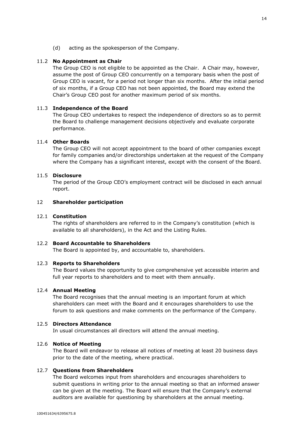(d) acting as the spokesperson of the Company.

# 11.2 **No Appointment as Chair**

The Group CEO is not eligible to be appointed as the Chair. A Chair may, however, assume the post of Group CEO concurrently on a temporary basis when the post of Group CEO is vacant, for a period not longer than six months. After the initial period of six months, if a Group CEO has not been appointed, the Board may extend the Chair's Group CEO post for another maximum period of six months.

## 11.3 **Independence of the Board**

The Group CEO undertakes to respect the independence of directors so as to permit the Board to challenge management decisions objectively and evaluate corporate performance.

#### 11.4 **Other Boards**

The Group CEO will not accept appointment to the board of other companies except for family companies and/or directorships undertaken at the request of the Company where the Company has a significant interest, except with the consent of the Board.

# 11.5 **Disclosure**

The period of the Group CEO's employment contract will be disclosed in each annual report.

# <span id="page-15-0"></span>12 **Shareholder participation**

## 12.1 **Constitution**

The rights of shareholders are referred to in the Company's constitution (which is available to all shareholders), in the Act and the Listing Rules.

#### 12.2 **Board Accountable to Shareholders**

The Board is appointed by, and accountable to, shareholders.

#### 12.3 **Reports to Shareholders**

The Board values the opportunity to give comprehensive yet accessible interim and full year reports to shareholders and to meet with them annually.

## 12.4 **Annual Meeting**

The Board recognises that the annual meeting is an important forum at which shareholders can meet with the Board and it encourages shareholders to use the forum to ask questions and make comments on the performance of the Company.

# 12.5 **Directors Attendance**

In usual circumstances all directors will attend the annual meeting.

## 12.6 **Notice of Meeting**

The Board will endeavor to release all notices of meeting at least 20 business days prior to the date of the meeting, where practical.

## 12.7 **Questions from Shareholders**

The Board welcomes input from shareholders and encourages shareholders to submit questions in writing prior to the annual meeting so that an informed answer can be given at the meeting. The Board will ensure that the Company's external auditors are available for questioning by shareholders at the annual meeting.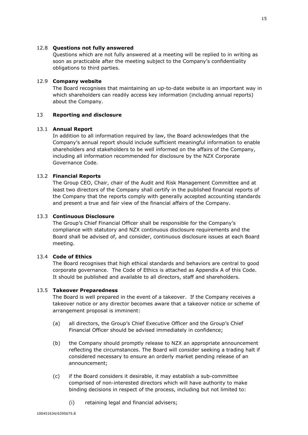## 12.8 **Questions not fully answered**

Questions which are not fully answered at a meeting will be replied to in writing as soon as practicable after the meeting subject to the Company's confidentiality obligations to third parties.

## 12.9 **Company website**

The Board recognises that maintaining an up-to-date website is an important way in which shareholders can readily access key information (including annual reports) about the Company.

# <span id="page-16-0"></span>13 **Reporting and disclosure**

#### 13.1 **Annual Report**

In addition to all information required by law, the Board acknowledges that the Company's annual report should include sufficient meaningful information to enable shareholders and stakeholders to be well informed on the affairs of the Company, including all information recommended for disclosure by the NZX Corporate Governance Code.

# 13.2 **Financial Reports**

The Group CEO, Chair, chair of the Audit and Risk Management Committee and at least two directors of the Company shall certify in the published financial reports of the Company that the reports comply with generally accepted accounting standards and present a true and fair view of the financial affairs of the Company.

#### 13.3 **Continuous Disclosure**

The Group's Chief Financial Officer shall be responsible for the Company's compliance with statutory and NZX continuous disclosure requirements and the Board shall be advised of, and consider, continuous disclosure issues at each Board meeting.

# 13.4 **Code of Ethics**

The Board recognises that high ethical standards and behaviors are central to good corporate governance. The Code of Ethics is attached as Appendix A of this Code. It should be published and available to all directors, staff and shareholders.

#### 13.5 **Takeover Preparedness**

The Board is well prepared in the event of a takeover. If the Company receives a takeover notice or any director becomes aware that a takeover notice or scheme of arrangement proposal is imminent:

- (a) all directors, the Group's Chief Executive Officer and the Group's Chief Financial Officer should be advised immediately in confidence;
- (b) the Company should promptly release to NZX an appropriate announcement reflecting the circumstances. The Board will consider seeking a trading halt if considered necessary to ensure an orderly market pending release of an announcement;
- (c) if the Board considers it desirable, it may establish a sub-committee comprised of non-interested directors which will have authority to make binding decisions in respect of the process, including but not limited to:
	- (i) retaining legal and financial advisers;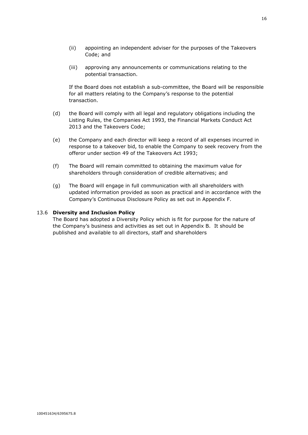(iii) approving any announcements or communications relating to the potential transaction.

If the Board does not establish a sub-committee, the Board will be responsible for all matters relating to the Company's response to the potential transaction.

- (d) the Board will comply with all legal and regulatory obligations including the Listing Rules, the Companies Act 1993, the Financial Markets Conduct Act 2013 and the Takeovers Code;
- (e) the Company and each director will keep a record of all expenses incurred in response to a takeover bid, to enable the Company to seek recovery from the offeror under section 49 of the Takeovers Act 1993;
- (f) The Board will remain committed to obtaining the maximum value for shareholders through consideration of credible alternatives; and
- (g) The Board will engage in full communication with all shareholders with updated information provided as soon as practical and in accordance with the Company's Continuous Disclosure Policy as set out in Appendix F.

# 13.6 **Diversity and Inclusion Policy**

The Board has adopted a Diversity Policy which is fit for purpose for the nature of the Company's business and activities as set out in Appendix B. It should be published and available to all directors, staff and shareholders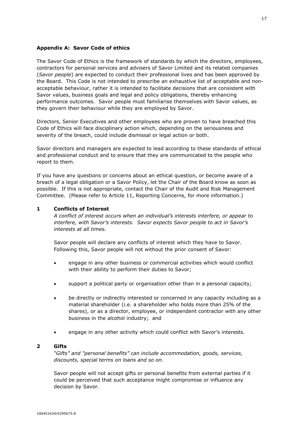# <span id="page-18-0"></span>**Appendix A: Savor Code of ethics**

The Savor Code of Ethics is the framework of standards by which the directors, employees, contractors for personal services and advisers of Savor Limited and its related companies (*Savor people*) are expected to conduct their professional lives and has been approved by the Board. This Code is not intended to prescribe an exhaustive list of acceptable and nonacceptable behaviour, rather it is intended to facilitate decisions that are consistent with Savor values, business goals and legal and policy obligations, thereby enhancing performance outcomes. Savor people must familiarise themselves with Savor values, as they govern their behaviour while they are employed by Savor.

Directors, Senior Executives and other employees who are proven to have breached this Code of Ethics will face disciplinary action which, depending on the seriousness and severity of the breach, could include dismissal or legal action or both.

Savor directors and managers are expected to lead according to these standards of ethical and professional conduct and to ensure that they are communicated to the people who report to them.

If you have any questions or concerns about an ethical question, or become aware of a breach of a legal obligation or a Savor Policy, let the Chair of the Board know as soon as possible. If this is not appropriate, contact the Chair of the Audit and Risk Management Committee. (Please refer to Article 11, Reporting Concerns, for more information.)

# **1 Conflicts of Interest**

*A conflict of interest occurs when an individual's interests interfere, or appear to interfere, with Savor's interests. Savor expects Savor people to act in Savor's interests at all times.*

Savor people will declare any conflicts of interest which they have to Savor. Following this, Savor people will not without the prior consent of Savor:

- engage in any other business or commercial activities which would conflict with their ability to perform their duties to Savor;
- support a political party or organisation other than in a personal capacity;
- be directly or indirectly interested or concerned in any capacity including as a material shareholder (i.e. a shareholder who holds more than 25% of the shares), or as a director, employee, or independent contractor with any other business in the alcohol industry; and
- engage in any other activity which could conflict with Savor's interests.

## **2 Gifts**

*"Gifts" and "personal benefits" can include accommodation, goods, services, discounts, special terms on loans and so on.*

Savor people will not accept gifts or personal benefits from external parties if it could be perceived that such acceptance might compromise or influence any decision by Savor.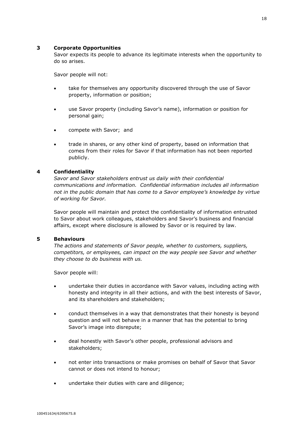# **3 Corporate Opportunities**

Savor expects its people to advance its legitimate interests when the opportunity to do so arises.

Savor people will not:

- take for themselves any opportunity discovered through the use of Savor property, information or position;
- use Savor property (including Savor's name), information or position for personal gain;
- compete with Savor; and
- trade in shares, or any other kind of property, based on information that comes from their roles for Savor if that information has not been reported publicly.

# **4 Confidentiality**

*Savor and Savor stakeholders entrust us daily with their confidential communications and information. Confidential information includes all information not in the public domain that has come to a Savor employee's knowledge by virtue of working for Savor.*

Savor people will maintain and protect the confidentiality of information entrusted to Savor about work colleagues, stakeholders and Savor's business and financial affairs, except where disclosure is allowed by Savor or is required by law.

# **5 Behaviours**

*The actions and statements of Savor people, whether to customers, suppliers, competitors, or employees, can impact on the way people see Savor and whether they choose to do business with us.*

Savor people will:

- undertake their duties in accordance with Savor values, including acting with honesty and integrity in all their actions, and with the best interests of Savor, and its shareholders and stakeholders;
- conduct themselves in a way that demonstrates that their honesty is beyond question and will not behave in a manner that has the potential to bring Savor's image into disrepute;
- deal honestly with Savor's other people, professional advisors and stakeholders;
- not enter into transactions or make promises on behalf of Savor that Savor cannot or does not intend to honour;
- undertake their duties with care and diligence;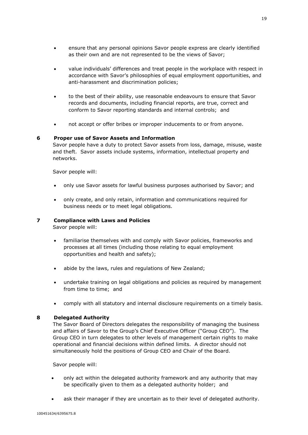- ensure that any personal opinions Savor people express are clearly identified as their own and are not represented to be the views of Savor;
- value individuals' differences and treat people in the workplace with respect in accordance with Savor's philosophies of equal employment opportunities, and anti-harassment and discrimination policies;
- to the best of their ability, use reasonable endeavours to ensure that Savor records and documents, including financial reports, are true, correct and conform to Savor reporting standards and internal controls; and
- not accept or offer bribes or improper inducements to or from anyone.

# **6 Proper use of Savor Assets and Information**

Savor people have a duty to protect Savor assets from loss, damage, misuse, waste and theft. Savor assets include systems, information, intellectual property and networks.

Savor people will:

- only use Savor assets for lawful business purposes authorised by Savor; and
- only create, and only retain, information and communications required for business needs or to meet legal obligations.

# **7 Compliance with Laws and Policies**

Savor people will:

- familiarise themselves with and comply with Savor policies, frameworks and processes at all times (including those relating to equal employment opportunities and health and safety);
- abide by the laws, rules and regulations of New Zealand;
- undertake training on legal obligations and policies as required by management from time to time; and
- comply with all statutory and internal disclosure requirements on a timely basis.

# **8 Delegated Authority**

The Savor Board of Directors delegates the responsibility of managing the business and affairs of Savor to the Group's Chief Executive Officer ("Group CEO"). The Group CEO in turn delegates to other levels of management certain rights to make operational and financial decisions within defined limits. A director should not simultaneously hold the positions of Group CEO and Chair of the Board.

Savor people will:

- only act within the delegated authority framework and any authority that may be specifically given to them as a delegated authority holder; and
- ask their manager if they are uncertain as to their level of delegated authority.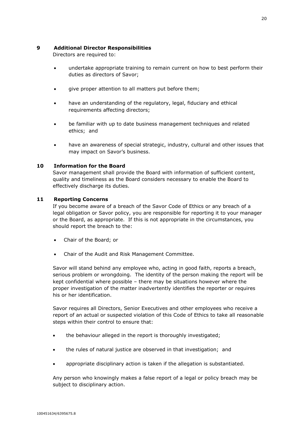# **9 Additional Director Responsibilities**

Directors are required to:

- undertake appropriate training to remain current on how to best perform their duties as directors of Savor;
- give proper attention to all matters put before them;
- have an understanding of the regulatory, legal, fiduciary and ethical requirements affecting directors;
- be familiar with up to date business management techniques and related ethics; and
- have an awareness of special strategic, industry, cultural and other issues that may impact on Savor's business.

# **10 Information for the Board**

Savor management shall provide the Board with information of sufficient content, quality and timeliness as the Board considers necessary to enable the Board to effectively discharge its duties.

# **11 Reporting Concerns**

If you become aware of a breach of the Savor Code of Ethics or any breach of a legal obligation or Savor policy, you are responsible for reporting it to your manager or the Board, as appropriate. If this is not appropriate in the circumstances, you should report the breach to the:

- Chair of the Board; or
- Chair of the Audit and Risk Management Committee.

Savor will stand behind any employee who, acting in good faith, reports a breach, serious problem or wrongdoing. The identity of the person making the report will be kept confidential where possible – there may be situations however where the proper investigation of the matter inadvertently identifies the reporter or requires his or her identification.

Savor requires all Directors, Senior Executives and other employees who receive a report of an actual or suspected violation of this Code of Ethics to take all reasonable steps within their control to ensure that:

- the behaviour alleged in the report is thoroughly investigated;
- the rules of natural justice are observed in that investigation; and
- appropriate disciplinary action is taken if the allegation is substantiated.

Any person who knowingly makes a false report of a legal or policy breach may be subject to disciplinary action.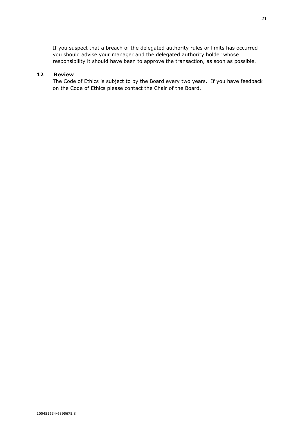If you suspect that a breach of the delegated authority rules or limits has occurred you should advise your manager and the delegated authority holder whose responsibility it should have been to approve the transaction, as soon as possible.

# **12 Review**

The Code of Ethics is subject to by the Board every two years. If you have feedback on the Code of Ethics please contact the Chair of the Board.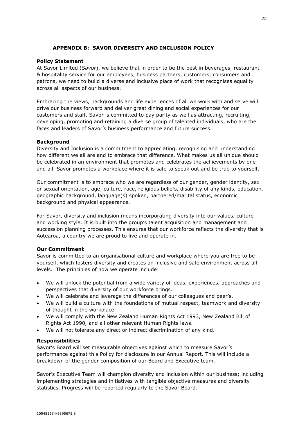# **APPENDIX B: SAVOR DIVERSITY AND INCLUSION POLICY**

# **Policy Statement**

At Savor Limited (*Savor*), we believe that in order to be the best in beverages, restaurant & hospitality service for our employees, business partners, customers, consumers and patrons, we need to build a diverse and inclusive place of work that recognises equality across all aspects of our business.

Embracing the views, backgrounds and life experiences of all we work with and serve will drive our business forward and deliver great dining and social experiences for our customers and staff. Savor is committed to pay parity as well as attracting, recruiting, developing, promoting and retaining a diverse group of talented individuals, who are the faces and leaders of Savor's business performance and future success.

# **Background**

Diversity and Inclusion is a commitment to appreciating, recognising and understanding how different we all are and to embrace that difference. What makes us all unique should be celebrated in an environment that promotes and celebrates the achievements by one and all. Savor promotes a workplace where it is safe to speak out and be true to yourself.

Our commitment is to embrace who we are regardless of our gender, gender identity, sex or sexual orientation, age, culture, race, religious beliefs, disability of any kinds, education, geographic background, language(s) spoken, partnered/marital status, economic background and physical appearance.

For Savor, diversity and inclusion means incorporating diversity into our values, culture and working style. It is built into the group's talent acquisition and management and succession planning processes. This ensures that our workforce reflects the diversity that is Aotearoa, a country we are proud to live and operate in.

#### **Our Commitment**

Savor is committed to an organisational culture and workplace where you are free to be yourself, which fosters diversity and creates an inclusive and safe environment across all levels. The principles of how we operate include:

- We will unlock the potential from a wide variety of ideas, experiences, approaches and perspectives that diversity of our workforce brings.
- We will celebrate and leverage the differences of our colleagues and peer's.
- We will build a culture with the foundations of mutual respect, teamwork and diversity of thought in the workplace.
- We will comply with the New Zealand Human Rights Act 1993, New Zealand Bill of Rights Act 1990, and all other relevant Human Rights laws.
- We will not tolerate any direct or indirect discrimination of any kind.

#### **Responsibilities**

Savor's Board will set measurable objectives against which to measure Savor's performance against this Policy for disclosure in our Annual Report. This will include a breakdown of the gender composition of our Board and Executive team.

Savor's Executive Team will champion diversity and inclusion within our business; including implementing strategies and initiatives with tangible objective measures and diversity statistics. Progress will be reported regularly to the Savor Board.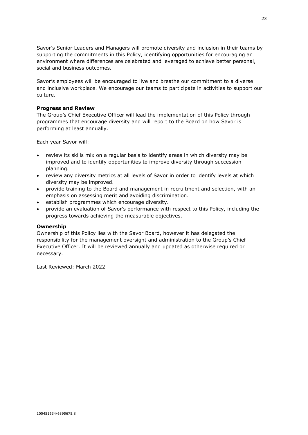Savor's Senior Leaders and Managers will promote diversity and inclusion in their teams by supporting the commitments in this Policy, identifying opportunities for encouraging an environment where differences are celebrated and leveraged to achieve better personal, social and business outcomes.

Savor's employees will be encouraged to live and breathe our commitment to a diverse and inclusive workplace. We encourage our teams to participate in activities to support our culture.

# **Progress and Review**

The Group's Chief Executive Officer will lead the implementation of this Policy through programmes that encourage diversity and will report to the Board on how Savor is performing at least annually.

Each year Savor will:

- review its skills mix on a regular basis to identify areas in which diversity may be improved and to identify opportunities to improve diversity through succession planning.
- review any diversity metrics at all levels of Savor in order to identify levels at which diversity may be improved.
- provide training to the Board and management in recruitment and selection, with an emphasis on assessing merit and avoiding discrimination.
- establish programmes which encourage diversity.
- provide an evaluation of Savor's performance with respect to this Policy, including the progress towards achieving the measurable objectives.

#### **Ownership**

Ownership of this Policy lies with the Savor Board, however it has delegated the responsibility for the management oversight and administration to the Group's Chief Executive Officer. It will be reviewed annually and updated as otherwise required or necessary.

Last Reviewed: March 2022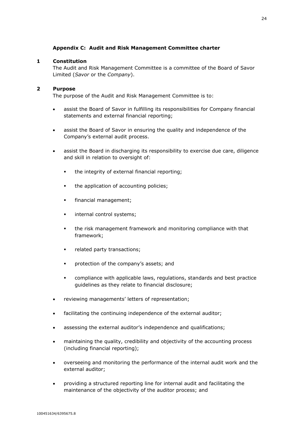# **Appendix C: Audit and Risk Management Committee charter**

# <span id="page-25-0"></span>**1 Constitution**

The Audit and Risk Management Committee is a committee of the Board of Savor Limited (*Savor* or the *Company*).

# **2 Purpose**

The purpose of the Audit and Risk Management Committee is to:

- assist the Board of Savor in fulfilling its responsibilities for Company financial statements and external financial reporting;
- assist the Board of Savor in ensuring the quality and independence of the Company's external audit process.
- assist the Board in discharging its responsibility to exercise due care, diligence and skill in relation to oversight of:
	- the integrity of external financial reporting;
	- the application of accounting policies;
	- financial management;
	- **internal control systems;**
	- the risk management framework and monitoring compliance with that framework;
	- related party transactions;
	- protection of the company's assets; and
	- compliance with applicable laws, regulations, standards and best practice guidelines as they relate to financial disclosure;
- reviewing managements' letters of representation;
- facilitating the continuing independence of the external auditor;
- assessing the external auditor's independence and qualifications;
- maintaining the quality, credibility and objectivity of the accounting process (including financial reporting);
- overseeing and monitoring the performance of the internal audit work and the external auditor;
- providing a structured reporting line for internal audit and facilitating the maintenance of the objectivity of the auditor process; and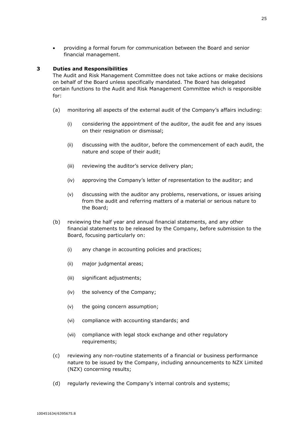• providing a formal forum for communication between the Board and senior financial management.

# **3 Duties and Responsibilities**

The Audit and Risk Management Committee does not take actions or make decisions on behalf of the Board unless specifically mandated. The Board has delegated certain functions to the Audit and Risk Management Committee which is responsible for:

- (a) monitoring all aspects of the external audit of the Company's affairs including:
	- (i) considering the appointment of the auditor, the audit fee and any issues on their resignation or dismissal;
	- (ii) discussing with the auditor, before the commencement of each audit, the nature and scope of their audit;
	- (iii) reviewing the auditor's service delivery plan;
	- (iv) approving the Company's letter of representation to the auditor; and
	- (v) discussing with the auditor any problems, reservations, or issues arising from the audit and referring matters of a material or serious nature to the Board;
- (b) reviewing the half year and annual financial statements, and any other financial statements to be released by the Company, before submission to the Board, focusing particularly on:
	- (i) any change in accounting policies and practices;
	- (ii) major judgmental areas;
	- (iii) significant adjustments;
	- (iv) the solvency of the Company;
	- (v) the going concern assumption;
	- (vi) compliance with accounting standards; and
	- (vii) compliance with legal stock exchange and other regulatory requirements;
- (c) reviewing any non-routine statements of a financial or business performance nature to be issued by the Company, including announcements to NZX Limited (NZX) concerning results;
- (d) regularly reviewing the Company's internal controls and systems;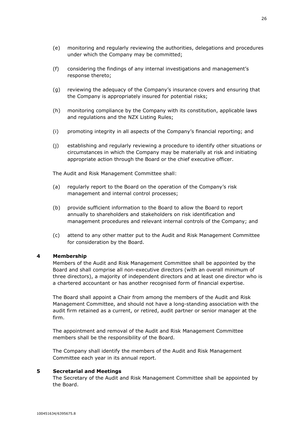- (f) considering the findings of any internal investigations and management's response thereto;
- (g) reviewing the adequacy of the Company's insurance covers and ensuring that the Company is appropriately insured for potential risks;
- (h) monitoring compliance by the Company with its constitution, applicable laws and regulations and the NZX Listing Rules;
- (i) promoting integrity in all aspects of the Company's financial reporting; and
- (j) establishing and regularly reviewing a procedure to identify other situations or circumstances in which the Company may be materially at risk and initiating appropriate action through the Board or the chief executive officer.

The Audit and Risk Management Committee shall:

- (a) regularly report to the Board on the operation of the Company's risk management and internal control processes;
- (b) provide sufficient information to the Board to allow the Board to report annually to shareholders and stakeholders on risk identification and management procedures and relevant internal controls of the Company; and
- (c) attend to any other matter put to the Audit and Risk Management Committee for consideration by the Board.

# **4 Membership**

Members of the Audit and Risk Management Committee shall be appointed by the Board and shall comprise all non-executive directors (with an overall minimum of three directors), a majority of independent directors and at least one director who is a chartered accountant or has another recognised form of financial expertise.

The Board shall appoint a Chair from among the members of the Audit and Risk Management Committee, and should not have a long-standing association with the audit firm retained as a current, or retired, audit partner or senior manager at the firm.

The appointment and removal of the Audit and Risk Management Committee members shall be the responsibility of the Board.

The Company shall identify the members of the Audit and Risk Management Committee each year in its annual report.

#### **5 Secretarial and Meetings**

The Secretary of the Audit and Risk Management Committee shall be appointed by the Board.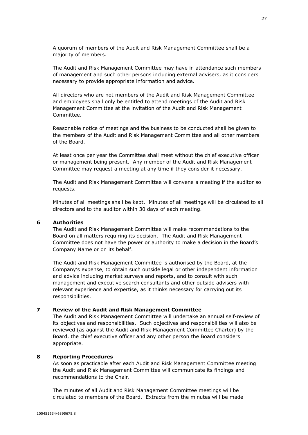A quorum of members of the Audit and Risk Management Committee shall be a majority of members.

The Audit and Risk Management Committee may have in attendance such members of management and such other persons including external advisers, as it considers necessary to provide appropriate information and advice.

All directors who are not members of the Audit and Risk Management Committee and employees shall only be entitled to attend meetings of the Audit and Risk Management Committee at the invitation of the Audit and Risk Management Committee.

Reasonable notice of meetings and the business to be conducted shall be given to the members of the Audit and Risk Management Committee and all other members of the Board.

At least once per year the Committee shall meet without the chief executive officer or management being present. Any member of the Audit and Risk Management Committee may request a meeting at any time if they consider it necessary.

The Audit and Risk Management Committee will convene a meeting if the auditor so requests.

Minutes of all meetings shall be kept. Minutes of all meetings will be circulated to all directors and to the auditor within 30 days of each meeting.

#### **6 Authorities**

The Audit and Risk Management Committee will make recommendations to the Board on all matters requiring its decision. The Audit and Risk Management Committee does not have the power or authority to make a decision in the Board's Company Name or on its behalf.

The Audit and Risk Management Committee is authorised by the Board, at the Company's expense, to obtain such outside legal or other independent information and advice including market surveys and reports, and to consult with such management and executive search consultants and other outside advisers with relevant experience and expertise, as it thinks necessary for carrying out its responsibilities.

# **7 Review of the Audit and Risk Management Committee**

The Audit and Risk Management Committee will undertake an annual self-review of its objectives and responsibilities. Such objectives and responsibilities will also be reviewed (as against the Audit and Risk Management Committee Charter) by the Board, the chief executive officer and any other person the Board considers appropriate.

# **8 Reporting Procedures**

As soon as practicable after each Audit and Risk Management Committee meeting the Audit and Risk Management Committee will communicate its findings and recommendations to the Chair.

The minutes of all Audit and Risk Management Committee meetings will be circulated to members of the Board. Extracts from the minutes will be made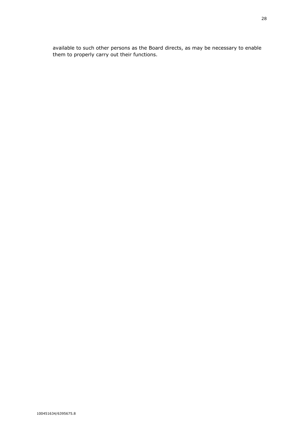available to such other persons as the Board directs, as may be necessary to enable them to properly carry out their functions.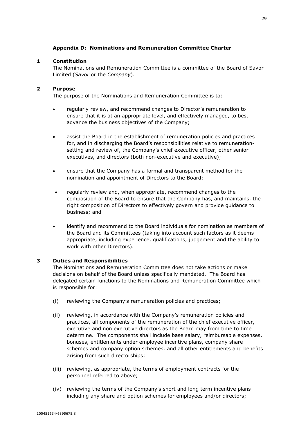# **Appendix D: Nominations and Remuneration Committee Charter**

# <span id="page-30-0"></span>**1 Constitution**

The Nominations and Remuneration Committee is a committee of the Board of Savor Limited (*Savor* or the *Company*).

# **2 Purpose**

The purpose of the Nominations and Remuneration Committee is to:

- regularly review, and recommend changes to Director's remuneration to ensure that it is at an appropriate level, and effectively managed, to best advance the business objectives of the Company;
- assist the Board in the establishment of remuneration policies and practices for, and in discharging the Board's responsibilities relative to remunerationsetting and review of, the Company's chief executive officer, other senior executives, and directors (both non-executive and executive);
- ensure that the Company has a formal and transparent method for the nomination and appointment of Directors to the Board;
- regularly review and, when appropriate, recommend changes to the composition of the Board to ensure that the Company has, and maintains, the right composition of Directors to effectively govern and provide guidance to business; and
- identify and recommend to the Board individuals for nomination as members of the Board and its Committees (taking into account such factors as it deems appropriate, including experience, qualifications, judgement and the ability to work with other Directors).

# **3 Duties and Responsibilities**

The Nominations and Remuneration Committee does not take actions or make decisions on behalf of the Board unless specifically mandated. The Board has delegated certain functions to the Nominations and Remuneration Committee which is responsible for:

- (i) reviewing the Company's remuneration policies and practices;
- (ii) reviewing, in accordance with the Company's remuneration policies and practices, all components of the remuneration of the chief executive officer, executive and non executive directors as the Board may from time to time determine. The components shall include base salary, reimbursable expenses, bonuses, entitlements under employee incentive plans, company share schemes and company option schemes, and all other entitlements and benefits arising from such directorships;
- (iii) reviewing, as appropriate, the terms of employment contracts for the personnel referred to above;
- (iv) reviewing the terms of the Company's short and long term incentive plans including any share and option schemes for employees and/or directors;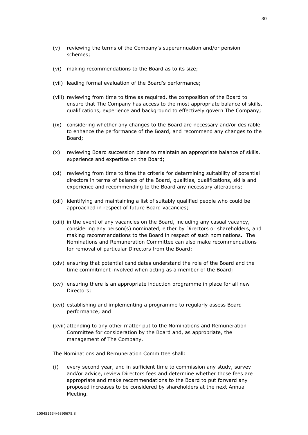- (v) reviewing the terms of the Company's superannuation and/or pension schemes;
- (vi) making recommendations to the Board as to its size;
- (vii) leading formal evaluation of the Board's performance;
- (viii) reviewing from time to time as required, the composition of the Board to ensure that The Company has access to the most appropriate balance of skills, qualifications, experience and background to effectively govern The Company;
- (ix) considering whether any changes to the Board are necessary and/or desirable to enhance the performance of the Board, and recommend any changes to the Board;
- (x) reviewing Board succession plans to maintain an appropriate balance of skills, experience and expertise on the Board;
- (xi) reviewing from time to time the criteria for determining suitability of potential directors in terms of balance of the Board, qualities, qualifications, skills and experience and recommending to the Board any necessary alterations;
- (xii) identifying and maintaining a list of suitably qualified people who could be approached in respect of future Board vacancies;
- (xiii) in the event of any vacancies on the Board, including any casual vacancy, considering any person(s) nominated, either by Directors or shareholders, and making recommendations to the Board in respect of such nominations. The Nominations and Remuneration Committee can also make recommendations for removal of particular Directors from the Board;
- (xiv) ensuring that potential candidates understand the role of the Board and the time commitment involved when acting as a member of the Board;
- (xv) ensuring there is an appropriate induction programme in place for all new Directors;
- (xvi) establishing and implementing a programme to regularly assess Board performance; and
- (xvii) attending to any other matter put to the Nominations and Remuneration Committee for consideration by the Board and, as appropriate, the management of The Company.

The Nominations and Remuneration Committee shall:

(i) every second year, and in sufficient time to commission any study, survey and/or advice, review Directors fees and determine whether those fees are appropriate and make recommendations to the Board to put forward any proposed increases to be considered by shareholders at the next Annual Meeting.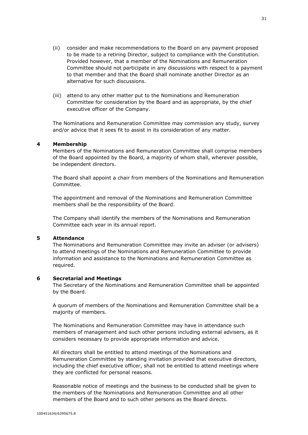- (ii) consider and make recommendations to the Board on any payment proposed to be made to a retiring Director, subject to compliance with the Constitution. Provided however, that a member of the Nominations and Remuneration Committee should not participate in any discussions with respect to a payment to that member and that the Board shall nominate another Director as an alternative for such discussions.
- (iii) attend to any other matter put to the Nominations and Remuneration Committee for consideration by the Board and as appropriate, by the chief executive officer of the Company.

The Nominations and Remuneration Committee may commission any study, survey and/or advice that it sees fit to assist in its consideration of any matter.

# **4 Membership**

Members of the Nominations and Remuneration Committee shall comprise members of the Board appointed by the Board, a majority of whom shall, wherever possible, be independent directors.

The Board shall appoint a chair from members of the Nominations and Remuneration Committee.

The appointment and removal of the Nominations and Remuneration Committee members shall be the responsibility of the Board.

The Company shall identify the members of the Nominations and Remuneration Committee each year in its annual report.

#### **5 Attendance**

The Nominations and Remuneration Committee may invite an adviser (or advisers) to attend meetings of the Nominations and Remuneration Committee to provide information and assistance to the Nominations and Remuneration Committee as required.

#### **6 Secretarial and Meetings**

The Secretary of the Nominations and Remuneration Committee shall be appointed by the Board.

A quorum of members of the Nominations and Remuneration Committee shall be a majority of members.

The Nominations and Remuneration Committee may have in attendance such members of management and such other persons including external advisers, as it considers necessary to provide appropriate information and advice.

All directors shall be entitled to attend meetings of the Nominations and Remuneration Committee by standing invitation provided that executive directors, including the chief executive officer, shall not be entitled to attend meetings where they are conflicted for personal reasons.

Reasonable notice of meetings and the business to be conducted shall be given to the members of the Nominations and Remuneration Committee and all other members of the Board and to such other persons as the Board directs.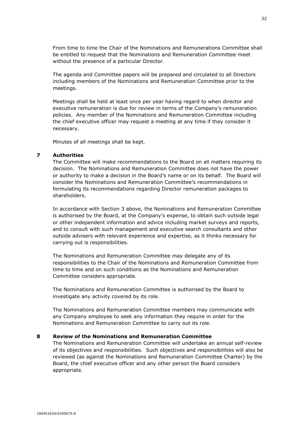From time to time the Chair of the Nominations and Remunerations Committee shall be entitled to request that the Nominations and Remuneration Committee meet without the presence of a particular Director.

The agenda and Committee papers will be prepared and circulated to all Directors including members of the Nominations and Remuneration Committee prior to the meetings.

Meetings shall be held at least once per year having regard to when director and executive remuneration is due for review in terms of the Company's remuneration policies. Any member of the Nominations and Remuneration Committee including the chief executive officer may request a meeting at any time if they consider it necessary.

Minutes of all meetings shall be kept.

# **7 Authorities**

The Committee will make recommendations to the Board on all matters requiring its decision. The Nominations and Remuneration Committee does not have the power or authority to make a decision in the Board's name or on its behalf. The Board will consider the Nominations and Remuneration Committee's recommendations in formulating its recommendations regarding Director remuneration packages to shareholders.

In accordance with Section 3 above, the Nominations and Remuneration Committee is authorised by the Board, at the Company's expense, to obtain such outside legal or other independent information and advice including market surveys and reports, and to consult with such management and executive search consultants and other outside advisers with relevant experience and expertise, as it thinks necessary for carrying out is responsibilities.

The Nominations and Remuneration Committee may delegate any of its responsibilities to the Chair of the Nominations and Remuneration Committee from time to time and on such conditions as the Nominations and Remuneration Committee considers appropriate.

The Nominations and Remuneration Committee is authorised by the Board to investigate any activity covered by its role.

The Nominations and Remuneration Committee members may communicate with any Company employee to seek any information they require in order for the Nominations and Remuneration Committee to carry out its role.

# **8 Review of the Nominations and Remuneration Committee**

The Nominations and Remuneration Committee will undertake an annual self-review of its objectives and responsibilities. Such objectives and responsibilities will also be reviewed (as against the Nominations and Remuneration Committee Charter) by the Board, the chief executive officer and any other person the Board considers appropriate.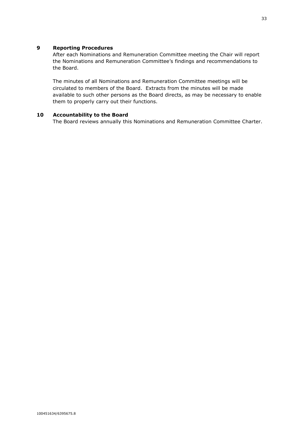# **9 Reporting Procedures**

After each Nominations and Remuneration Committee meeting the Chair will report the Nominations and Remuneration Committee's findings and recommendations to the Board.

The minutes of all Nominations and Remuneration Committee meetings will be circulated to members of the Board. Extracts from the minutes will be made available to such other persons as the Board directs, as may be necessary to enable them to properly carry out their functions.

# **10 Accountability to the Board**

The Board reviews annually this Nominations and Remuneration Committee Charter.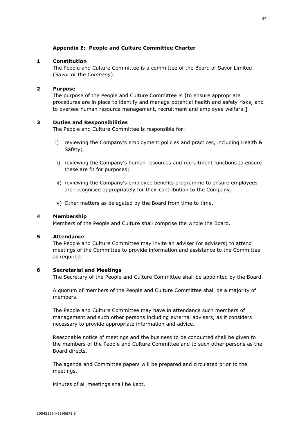# **Appendix E: People and Culture Committee Charter**

# <span id="page-35-0"></span>**1 Constitution**

The People and Culture Committee is a committee of the Board of Savor Limited (*Savor* or the *Company*).

# **2 Purpose**

The purpose of the People and Culture Committee is **[**to ensure appropriate procedures are in place to identify and manage potential health and safety risks, and to oversee human resource management, recruitment and employee welfare.**]**

# **3 Duties and Responsibilities**

The People and Culture Committee is responsible for:

- i) reviewing the Company's employment policies and practices, including Health & Safety;
- ii) reviewing the Company's human resources and recruitment functions to ensure these are fit for purposes;
- iii) reviewing the Company's employee benefits programme to ensure employees are recognised appropriately for their contribution to the Company.
- iv) Other matters as delegated by the Board from time to time.

# **4 Membership**

Members of the People and Culture shall comprise the whole the Board.

#### **5 Attendance**

The People and Culture Committee may invite an adviser (or advisers) to attend meetings of the Committee to provide information and assistance to the Committee as required.

#### **6 Secretarial and Meetings**

The Secretary of the People and Culture Committee shall be appointed by the Board.

A quorum of members of the People and Culture Committee shall be a majority of members.

The People and Culture Committee may have in attendance such members of management and such other persons including external advisers, as it considers necessary to provide appropriate information and advice.

Reasonable notice of meetings and the business to be conducted shall be given to the members of the People and Culture Committee and to such other persons as the Board directs.

The agenda and Committee papers will be prepared and circulated prior to the meetings.

Minutes of all meetings shall be kept.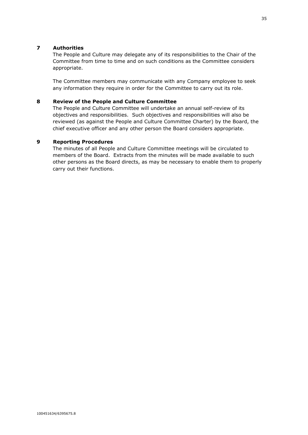# **7 Authorities**

The People and Culture may delegate any of its responsibilities to the Chair of the Committee from time to time and on such conditions as the Committee considers appropriate.

The Committee members may communicate with any Company employee to seek any information they require in order for the Committee to carry out its role.

# **8 Review of the People and Culture Committee**

The People and Culture Committee will undertake an annual self-review of its objectives and responsibilities. Such objectives and responsibilities will also be reviewed (as against the People and Culture Committee Charter) by the Board, the chief executive officer and any other person the Board considers appropriate.

# **9 Reporting Procedures**

The minutes of all People and Culture Committee meetings will be circulated to members of the Board. Extracts from the minutes will be made available to such other persons as the Board directs, as may be necessary to enable them to properly carry out their functions.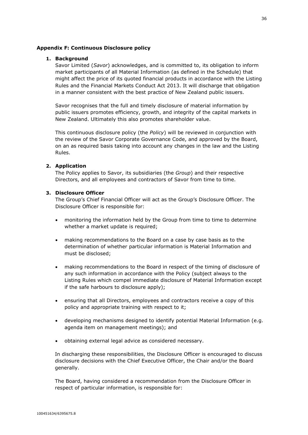## <span id="page-37-0"></span>**Appendix F: Continuous Disclosure policy**

#### **1. Background**

Savor Limited (*Savor*) acknowledges, and is committed to, its obligation to inform market participants of all Material Information (as defined in the Schedule) that might affect the price of its quoted financial products in accordance with the Listing Rules and the Financial Markets Conduct Act 2013. It will discharge that obligation in a manner consistent with the best practice of New Zealand public issuers.

Savor recognises that the full and timely disclosure of material information by public issuers promotes efficiency, growth, and integrity of the capital markets in New Zealand. Ultimately this also promotes shareholder value.

This continuous disclosure policy (the *Policy*) will be reviewed in conjunction with the review of the Savor Corporate Governance Code, and approved by the Board, on an as required basis taking into account any changes in the law and the Listing Rules.

# **2. Application**

The Policy applies to Savor, its subsidiaries (the *Group*) and their respective Directors, and all employees and contractors of Savor from time to time.

#### **3. Disclosure Officer**

The Group's Chief Financial Officer will act as the Group's Disclosure Officer. The Disclosure Officer is responsible for:

- monitoring the information held by the Group from time to time to determine whether a market update is required;
- making recommendations to the Board on a case by case basis as to the determination of whether particular information is Material Information and must be disclosed;
- making recommendations to the Board in respect of the timing of disclosure of any such information in accordance with the Policy (subject always to the Listing Rules which compel immediate disclosure of Material Information except if the safe harbours to disclosure apply);
- ensuring that all Directors, employees and contractors receive a copy of this policy and appropriate training with respect to it;
- developing mechanisms designed to identify potential Material Information (e.g. agenda item on management meetings); and
- obtaining external legal advice as considered necessary.

In discharging these responsibilities, the Disclosure Officer is encouraged to discuss disclosure decisions with the Chief Executive Officer, the Chair and/or the Board generally.

The Board, having considered a recommendation from the Disclosure Officer in respect of particular information, is responsible for: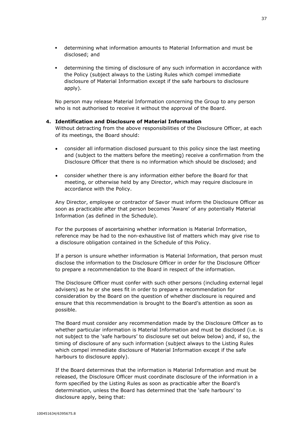- determining what information amounts to Material Information and must be disclosed; and
- determining the timing of disclosure of any such information in accordance with the Policy (subject always to the Listing Rules which compel immediate disclosure of Material Information except if the safe harbours to disclosure apply).

No person may release Material Information concerning the Group to any person who is not authorised to receive it without the approval of the Board.

# **4. Identification and Disclosure of Material Information**

Without detracting from the above responsibilities of the Disclosure Officer, at each of its meetings, the Board should:

- consider all information disclosed pursuant to this policy since the last meeting and (subject to the matters before the meeting) receive a confirmation from the Disclosure Officer that there is no information which should be disclosed; and
- consider whether there is any information either before the Board for that meeting, or otherwise held by any Director, which may require disclosure in accordance with the Policy.

Any Director, employee or contractor of Savor must inform the Disclosure Officer as soon as practicable after that person becomes 'Aware' of any potentially Material Information (as defined in the Schedule).

For the purposes of ascertaining whether information is Material Information, reference may be had to the non-exhaustive list of matters which may give rise to a disclosure obligation contained in the Schedule of this Policy.

If a person is unsure whether information is Material Information, that person must disclose the information to the Disclosure Officer in order for the Disclosure Officer to prepare a recommendation to the Board in respect of the information.

The Disclosure Officer must confer with such other persons (including external legal advisers) as he or she sees fit in order to prepare a recommendation for consideration by the Board on the question of whether disclosure is required and ensure that this recommendation is brought to the Board's attention as soon as possible.

The Board must consider any recommendation made by the Disclosure Officer as to whether particular information is Material Information and must be disclosed (i.e. is not subject to the 'safe harbours' to disclosure set out below below) and, if so, the timing of disclosure of any such information (subject always to the Listing Rules which compel immediate disclosure of Material Information except if the safe harbours to disclosure apply).

If the Board determines that the information is Material Information and must be released, the Disclosure Officer must coordinate disclosure of the information in a form specified by the Listing Rules as soon as practicable after the Board's determination, unless the Board has determined that the 'safe harbours' to disclosure apply, being that: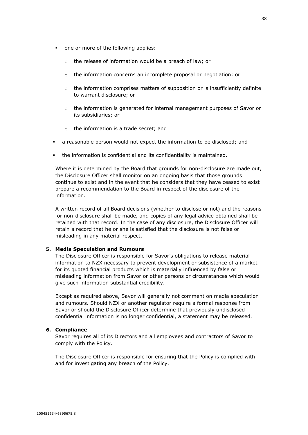- one or more of the following applies:
	- o the release of information would be a breach of law; or
	- o the information concerns an incomplete proposal or negotiation; or
	- $\circ$  the information comprises matters of supposition or is insufficiently definite to warrant disclosure; or
	- o the information is generated for internal management purposes of Savor or its subsidiaries; or
	- o the information is a trade secret; and
- a reasonable person would not expect the information to be disclosed; and
- the information is confidential and its confidentiality is maintained.

Where it is determined by the Board that grounds for non-disclosure are made out, the Disclosure Officer shall monitor on an ongoing basis that those grounds continue to exist and in the event that he considers that they have ceased to exist prepare a recommendation to the Board in respect of the disclosure of the information.

A written record of all Board decisions (whether to disclose or not) and the reasons for non-disclosure shall be made, and copies of any legal advice obtained shall be retained with that record. In the case of any disclosure, the Disclosure Officer will retain a record that he or she is satisfied that the disclosure is not false or misleading in any material respect.

#### **5. Media Speculation and Rumours**

The Disclosure Officer is responsible for Savor's obligations to release material information to NZX necessary to prevent development or subsistence of a market for its quoted financial products which is materially influenced by false or misleading information from Savor or other persons or circumstances which would give such information substantial credibility.

Except as required above, Savor will generally not comment on media speculation and rumours. Should NZX or another regulator require a formal response from Savor or should the Disclosure Officer determine that previously undisclosed confidential information is no longer confidential, a statement may be released.

## **6. Compliance**

Savor requires all of its Directors and all employees and contractors of Savor to comply with the Policy.

The Disclosure Officer is responsible for ensuring that the Policy is complied with and for investigating any breach of the Policy.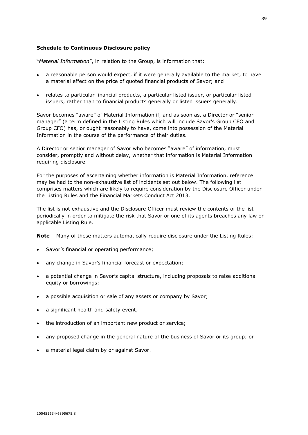# **Schedule to Continuous Disclosure policy**

"*Material Information*", in relation to the Group, is information that:

- a reasonable person would expect, if it were generally available to the market, to have a material effect on the price of quoted financial products of Savor; and
- relates to particular financial products, a particular listed issuer, or particular listed issuers, rather than to financial products generally or listed issuers generally.

Savor becomes "aware" of Material Information if, and as soon as, a Director or "senior manager" (a term defined in the Listing Rules which will include Savor's Group CEO and Group CFO) has, or ought reasonably to have, come into possession of the Material Information in the course of the performance of their duties.

A Director or senior manager of Savor who becomes "aware" of information, must consider, promptly and without delay, whether that information is Material Information requiring disclosure.

For the purposes of ascertaining whether information is Material Information, reference may be had to the non-exhaustive list of incidents set out below. The following list comprises matters which are likely to require consideration by the Disclosure Officer under the Listing Rules and the Financial Markets Conduct Act 2013.

The list is not exhaustive and the Disclosure Officer must review the contents of the list periodically in order to mitigate the risk that Savor or one of its agents breaches any law or applicable Listing Rule.

**Note** – Many of these matters automatically require disclosure under the Listing Rules:

- Savor's financial or operating performance;
- any change in Savor's financial forecast or expectation;
- a potential change in Savor's capital structure, including proposals to raise additional equity or borrowings;
- a possible acquisition or sale of any assets or company by Savor;
- a significant health and safety event;
- the introduction of an important new product or service;
- any proposed change in the general nature of the business of Savor or its group; or
- a material legal claim by or against Savor.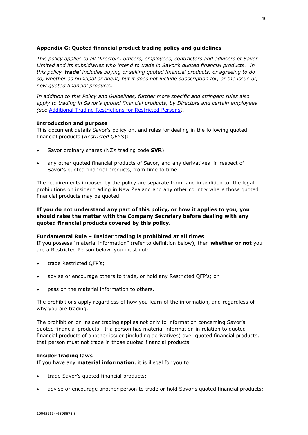# <span id="page-41-0"></span>**Appendix G: Quoted financial product trading policy and guidelines**

*This policy applies to all Directors, officers, employees, contractors and advisers of Savor Limited and its subsidiaries who intend to trade in Savor's quoted financial products. In this policy 'trade' includes buying or selling quoted financial products, or agreeing to do so, whether as principal or agent, but it does not include subscription for, or the issue of, new quoted financial products.*

*In addition to this Policy and Guidelines, further more specific and stringent rules also apply to trading in Savor's quoted financial products, by Directors and certain employees (see* [Additional Trading Restrictions for Restricted Persons](#page-45-0)*).*

# **Introduction and purpose**

This document details Savor's policy on, and rules for dealing in the following quoted financial products (*Restricted QFP's*):

- Savor ordinary shares (NZX trading code **SVR**)
- any other quoted financial products of Savor, and any derivatives in respect of Savor's quoted financial products, from time to time.

The requirements imposed by the policy are separate from, and in addition to, the legal prohibitions on insider trading in New Zealand and any other country where those quoted financial products may be quoted.

# **If you do not understand any part of this policy, or how it applies to you, you should raise the matter with the Company Secretary before dealing with any quoted financial products covered by this policy.**

# **Fundamental Rule – Insider trading is prohibited at all times**

If you possess "material information" (refer to definition below), then **whether or not** you are a Restricted Person below, you must not:

- trade Restricted QFP's;
- advise or encourage others to trade, or hold any Restricted QFP's; or
- pass on the material information to others.

The prohibitions apply regardless of how you learn of the information, and regardless of why you are trading.

The prohibition on insider trading applies not only to information concerning Savor's quoted financial products. If a person has material information in relation to quoted financial products of another issuer (including derivatives) over quoted financial products, that person must not trade in those quoted financial products.

#### **Insider trading laws**

If you have any **material information**, it is illegal for you to:

- trade Savor's quoted financial products;
- advise or encourage another person to trade or hold Savor's quoted financial products;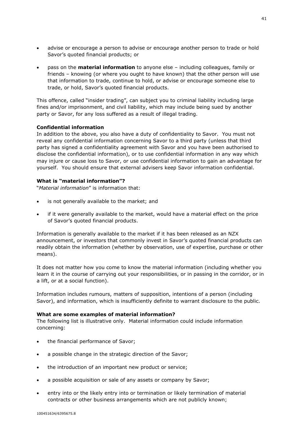- advise or encourage a person to advise or encourage another person to trade or hold Savor's quoted financial products; or
- pass on the **material information** to anyone else including colleagues, family or friends – knowing (or where you ought to have known) that the other person will use that information to trade, continue to hold, or advise or encourage someone else to trade, or hold, Savor's quoted financial products.

This offence, called "insider trading", can subject you to criminal liability including large fines and/or imprisonment, and civil liability, which may include being sued by another party or Savor, for any loss suffered as a result of illegal trading.

# **Confidential information**

In addition to the above, you also have a duty of confidentiality to Savor. You must not reveal any confidential information concerning Savor to a third party (unless that third party has signed a confidentiality agreement with Savor and you have been authorised to disclose the confidential information), or to use confidential information in any way which may injure or cause loss to Savor, or use confidential information to gain an advantage for yourself. You should ensure that external advisers keep Savor information confidential.

#### **What is "material information"?**

"*Material information*" is information that:

- is not generally available to the market; and
- if it were generally available to the market, would have a material effect on the price of Savor's quoted financial products.

Information is generally available to the market if it has been released as an NZX announcement, or investors that commonly invest in Savor's quoted financial products can readily obtain the information (whether by observation, use of expertise, purchase or other means).

It does not matter how you come to know the material information (including whether you learn it in the course of carrying out your responsibilities, or in passing in the corridor, or in a lift, or at a social function).

Information includes rumours, matters of supposition, intentions of a person (including Savor), and information, which is insufficiently definite to warrant disclosure to the public.

#### **What are some examples of material information?**

The following list is illustrative only. Material information could include information concerning:

- the financial performance of Savor;
- a possible change in the strategic direction of the Savor;
- the introduction of an important new product or service;
- a possible acquisition or sale of any assets or company by Savor;
- entry into or the likely entry into or termination or likely termination of material contracts or other business arrangements which are not publicly known;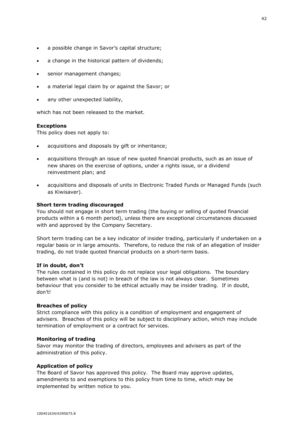- a possible change in Savor's capital structure;
- a change in the historical pattern of dividends;
- senior management changes;
- a material legal claim by or against the Savor; or
- any other unexpected liability,

which has not been released to the market.

#### **Exceptions**

This policy does not apply to:

- acquisitions and disposals by gift or inheritance;
- acquisitions through an issue of new quoted financial products, such as an issue of new shares on the exercise of options, under a rights issue, or a dividend reinvestment plan; and
- acquisitions and disposals of units in Electronic Traded Funds or Managed Funds (such as Kiwisaver).

## **Short term trading discouraged**

You should not engage in short term trading (the buying or selling of quoted financial products within a 6 month period), unless there are exceptional circumstances discussed with and approved by the Company Secretary.

Short term trading can be a key indicator of insider trading, particularly if undertaken on a regular basis or in large amounts. Therefore, to reduce the risk of an allegation of insider trading, do not trade quoted financial products on a short-term basis.

#### **If in doubt, don't**

The rules contained in this policy do not replace your legal obligations. The boundary between what is (and is not) in breach of the law is not always clear. Sometimes behaviour that you consider to be ethical actually may be insider trading. If in doubt, don't!

#### **Breaches of policy**

Strict compliance with this policy is a condition of employment and engagement of advisers. Breaches of this policy will be subject to disciplinary action, which may include termination of employment or a contract for services.

#### **Monitoring of trading**

Savor may monitor the trading of directors, employees and advisers as part of the administration of this policy.

#### **Application of policy**

The Board of Savor has approved this policy. The Board may approve updates, amendments to and exemptions to this policy from time to time, which may be implemented by written notice to you.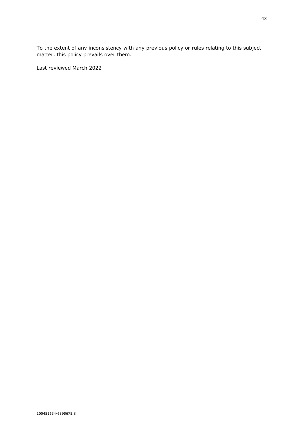To the extent of any inconsistency with any previous policy or rules relating to this subject matter, this policy prevails over them.

Last reviewed March 2022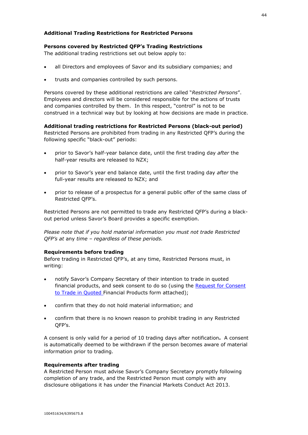# <span id="page-45-0"></span>**Additional Trading Restrictions for Restricted Persons**

# **Persons covered by Restricted QFP's Trading Restrictions**

The additional trading restrictions set out below apply to:

- all Directors and employees of Savor and its subsidiary companies; and
- trusts and companies controlled by such persons.

Persons covered by these additional restrictions are called "*Restricted Persons*". Employees and directors will be considered responsible for the actions of trusts and companies controlled by them. In this respect, "control" is not to be construed in a technical way but by looking at how decisions are made in practice.

# **Additional trading restrictions for Restricted Persons (black-out period)**

Restricted Persons are prohibited from trading in any Restricted QFP's during the following specific "black-out" periods:

- prior to Savor's half-year balance date, until the first trading day *after* the half-year results are released to NZX;
- prior to Savor's year end balance date, until the first trading day *after* the full-year results are released to NZX; and
- prior to release of a prospectus for a general public offer of the same class of Restricted QFP's.

Restricted Persons are not permitted to trade any Restricted QFP's during a blackout period unless Savor's Board provides a specific exemption.

*Please note that if you hold material information you must not trade Restricted QFP's at* any *time – regardless of these periods.*

#### **Requirements before trading**

Before trading in Restricted QFP's, at any time, Restricted Persons must, in writing:

- notify Savor's Company Secretary of their intention to trade in quoted financial products, and seek consent to do so (using the Request for Consent to Trade in Quoted Financial Products form attached);
- confirm that they do not hold material information; and
- confirm that there is no known reason to prohibit trading in any Restricted QFP's.

A consent is only valid for a period of 10 trading days after notification**.** A consent is automatically deemed to be withdrawn if the person becomes aware of material information prior to trading.

#### **Requirements after trading**

A Restricted Person must advise Savor's Company Secretary promptly following completion of any trade, and the Restricted Person must comply with any disclosure obligations it has under the Financial Markets Conduct Act 2013.